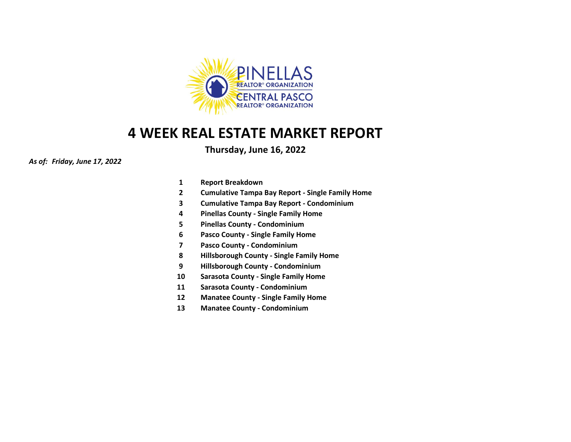

# **4 WEEK REAL ESTATE MARKET REPORT**

**Thursday, June 16, 2022**

*As of: Friday, June 17, 2022*

- **1 Report Breakdown**
- **2 Cumulative Tampa Bay Report - Single Family Home**
- **3 Cumulative Tampa Bay Report - Condominium**
- **4 Pinellas County - Single Family Home**
- **5 Pinellas County - Condominium**
- **6 Pasco County - Single Family Home**
- **7 Pasco County - Condominium**
- **8 Hillsborough County - Single Family Home**
- **9 Hillsborough County - Condominium**
- **10 Sarasota County - Single Family Home**
- **11 Sarasota County - Condominium**
- **12 Manatee County - Single Family Home**
- **13 Manatee County - Condominium**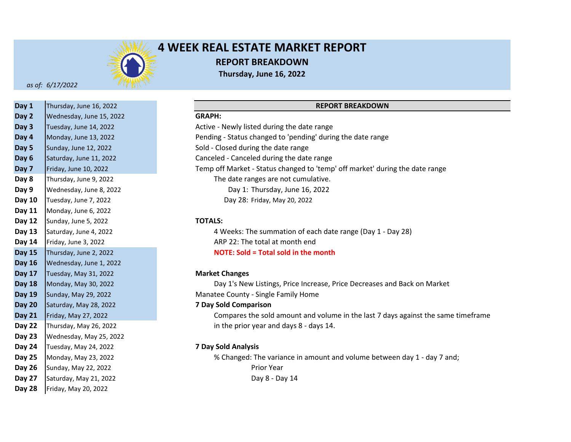

# **4 WEEK REAL ESTATE MARKET REPORT REPORT BREAKDOWN Thursday, June 16, 2022**

*as of: 6/17/2022*

| Day 1         | Thursday, June 16, 2022  |                              |
|---------------|--------------------------|------------------------------|
| Day 2         | Wednesday, June 15, 2022 | <b>GRAPH:</b>                |
| Day 3         | Tuesday, June 14, 2022   | Active - Newly listed during |
| Day 4         | Monday, June 13, 2022    | Pending - Status changed to  |
| Day 5         | Sunday, June 12, 2022    | Sold - Closed during the dat |
| Day 6         | Saturday, June 11, 2022  | Canceled - Canceled during   |
| Day 7         | Friday, June 10, 2022    | Temp off Market - Status cl  |
| Day 8         | Thursday, June 9, 2022   | The date ranges are r        |
| Day 9         | Wednesday, June 8, 2022  | Day 1: Thursday,             |
| Day 10        | Tuesday, June 7, 2022    | Day 28: Friday, May          |
| Day 11        | Monday, June 6, 2022     |                              |
| Day 12        | Sunday, June 5, 2022     | <b>TOTALS:</b>               |
| Day 13        | Saturday, June 4, 2022   | 4 Weeks: The summa           |
| Day 14        | Friday, June 3, 2022     | ARP 22: The total at r       |
| <b>Day 15</b> | Thursday, June 2, 2022   | <b>NOTE: Sold = Total so</b> |
| <b>Day 16</b> | Wednesday, June 1, 2022  |                              |
| Day 17        | Tuesday, May 31, 2022    | <b>Market Changes</b>        |
| <b>Day 18</b> | Monday, May 30, 2022     | Day 1's New Listings,        |
| <b>Day 19</b> | Sunday, May 29, 2022     | Manatee County - Single Fa   |
| <b>Day 20</b> | Saturday, May 28, 2022   | <b>7 Day Sold Comparison</b> |
| <b>Day 21</b> | Friday, May 27, 2022     | Compares the sold ar         |
| Day 22        | Thursday, May 26, 2022   | in the prior year and        |
| Day 23        | Wednesday, May 25, 2022  |                              |
| Day 24        | Tuesday, May 24, 2022    | <b>7 Day Sold Analysis</b>   |
| Day 25        | Monday, May 23, 2022     | % Changed: The varia         |
| Day 26        | Sunday, May 22, 2022     | Prior Year                   |
| Day 27        | Saturday, May 21, 2022   | Day $8 - D\epsilon$          |
| Day 28        | Friday, May 20, 2022     |                              |
|               |                          |                              |

#### **REPORT BREAKDOWN**

**Day 3** Active - Newly listed during the date range **Day 4** Pending - Status changed to 'pending' during the date range Sold - Closed during the date range Canceled - Canceled during the date range **Day 7** Temp off Market - Status changed to 'temp' off market' during the date range The date ranges are not cumulative. Day 1: Thursday, June 16, 2022 Day 28: Friday, May 20, 2022

#### **Day 12 TOTALS:**

**Day 13** 4 Weeks: The summation of each date range (Day 1 - Day 28) **Day 14** ARP 22: The total at month end **Day 15 NOTE: Sold = Total sold in the month**

#### **Day 17 Market Changes**

Day 1's New Listings, Price Increase, Price Decreases and Back on Market **Day 19** Manatee County - Single Family Home

#### **Day 20 7 Day Sold Comparison**

**Day 21** Compares the sold amount and volume in the last 7 days against the same timeframe **Day 22** in the prior year and days 8 - days 14.

#### **Day 24 7 Day Sold Analysis**

**Day 25** % Changed: The variance in amount and volume between day 1 - day 7 and; Day 8 - Day 14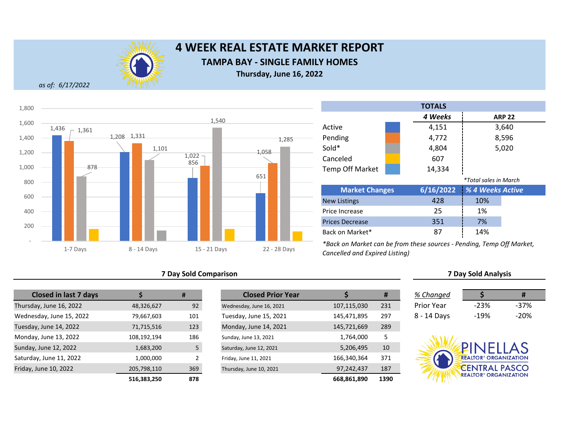

# **4 WEEK REAL ESTATE MARKET REPORT TAMPA BAY - SINGLE FAMILY HOMES**

**Thursday, June 16, 2022**

*as of: 6/17/2022*



#### **7 Day Sold Comparison**

| <b>Closed in last 7 days</b> |             | #   | <b>Closed Prior Year</b> |             |  |
|------------------------------|-------------|-----|--------------------------|-------------|--|
| Thursday, June 16, 2022      | 48,326,627  | 92  | Wednesday, June 16, 2021 | 107,115,030 |  |
| Wednesday, June 15, 2022     | 79,667,603  | 101 | Tuesday, June 15, 2021   | 145,471,895 |  |
| Tuesday, June 14, 2022       | 71,715,516  | 123 | Monday, June 14, 2021    | 145,721,669 |  |
| Monday, June 13, 2022        | 108,192,194 | 186 | Sunday, June 13, 2021    | 1,764,000   |  |
| Sunday, June 12, 2022        | 1,683,200   | 5   | Saturday, June 12, 2021  | 5,206,495   |  |
| Saturday, June 11, 2022      | 1,000,000   | 2   | Friday, June 11, 2021    | 166,340,364 |  |
| Friday, June 10, 2022        | 205,798,110 | 369 | Thursday, June 10, 2021  | 97,242,437  |  |
|                              | 516.383.250 | 878 |                          | 668.861.890 |  |

| <b>Closed in last 7 days</b> |             | #   | <b>Closed Prior Year</b> |             |      | % Changed   |                                         | #      |
|------------------------------|-------------|-----|--------------------------|-------------|------|-------------|-----------------------------------------|--------|
| day, June 16, 2022           | 48,326,627  | 92  | Wednesday, June 16, 2021 | 107,115,030 | 231  | Prior Year  | $-23%$                                  | $-37%$ |
| esday, June 15, 2022         | 79,667,603  | 101 | Tuesday, June 15, 2021   | 145,471,895 | 297  | 8 - 14 Days | $-19%$                                  | $-20%$ |
| ay, June 14, 2022            | 71,715,516  | 123 | Monday, June 14, 2021    | 145,721,669 | 289  |             |                                         |        |
| ay, June 13, 2022            | 108,192,194 | 186 | Sunday, June 13, 2021    | 1,764,000   |      |             |                                         |        |
| v. June 12, 2022             | 1,683,200   |     | Saturday, June 12, 2021  | 5,206,495   | 10   |             | PINELLAS                                |        |
| lay, June 11, 2022           | 1,000,000   |     | Friday, June 11, 2021    | 166,340,364 | 371  |             | <b>REALTOR® ORGANIZATION</b>            |        |
| , June 10, 2022              | 205,798,110 | 369 | Thursday, June 10, 2021  | 97,242,437  | 187  |             | <b>EENTRAL PASCO</b>                    |        |
|                              | 516,383,250 | 878 |                          | 668,861,890 | 1390 |             | <b>REALTOR<sup>®</sup> ORGANIZATION</b> |        |

|                        |                              | <b>TOTALS</b> |                  |               |  |  |
|------------------------|------------------------------|---------------|------------------|---------------|--|--|
|                        |                              | 4 Weeks       |                  | <b>ARP 22</b> |  |  |
| Active                 |                              | 4,151         |                  | 3,640         |  |  |
| Pending                |                              | 4,772         |                  | 8,596         |  |  |
| Sold*                  |                              | 4,804         |                  | 5,020         |  |  |
| Canceled               |                              | 607           |                  |               |  |  |
| <b>Temp Off Market</b> |                              | 14,334        |                  |               |  |  |
|                        | <i>*Total sales in March</i> |               |                  |               |  |  |
| <b>Market Changes</b>  |                              | 6/16/2022     | % 4 Weeks Active |               |  |  |
| <b>New Listings</b>    |                              | 428           | 10%              |               |  |  |
|                        |                              |               |                  |               |  |  |

| <b>IVEW LIJUILSJ</b>                                                 | - 20 | 1070 |  |
|----------------------------------------------------------------------|------|------|--|
| Price Increase                                                       | 25   | 1%   |  |
| <b>Prices Decrease</b>                                               | 351  | 7%   |  |
| Back on Market*                                                      |      | 14%  |  |
| *Deal an Maulist can be from those courses. Dending Town Off Maulist |      |      |  |

*\*Back on Market can be from these sources - Pending, Temp Off Market, Cancelled and Expired Listing)*

| % Changed   |        | Ħ      |
|-------------|--------|--------|
| Prior Year  | $-23%$ | -37%   |
| 8 - 14 Days | $-19%$ | $-20%$ |

**7 Day Sold Analysis**

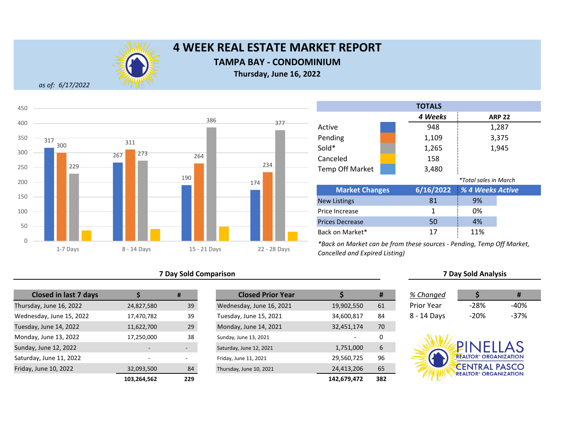

# **4 WEEK REAL ESTATE MARKET REPORT**

### **TAMPA BAY - CONDOMINIUM**

**Thursday, June 16, 2022**

*as of: 6/17/2022*



### **7 Day Sold Comparison 7 Day Sold Analysis**

| <b>Closed in last 7 days</b> |                          | #   | <b>Closed Prior Year</b> |             |
|------------------------------|--------------------------|-----|--------------------------|-------------|
| Thursday, June 16, 2022      | 24,827,580               | 39  | Wednesday, June 16, 2021 | 19,902,550  |
| Wednesday, June 15, 2022     | 17,470,782               | 39  | Tuesday, June 15, 2021   | 34,600,817  |
| Tuesday, June 14, 2022       | 11,622,700               | 29  | Monday, June 14, 2021    | 32,451,174  |
| Monday, June 13, 2022        | 17,250,000               | 38  | Sunday, June 13, 2021    |             |
| Sunday, June 12, 2022        | $\overline{\phantom{0}}$ |     | Saturday, June 12, 2021  | 1,751,000   |
| Saturday, June 11, 2022      | $\overline{\phantom{a}}$ | ٠   | Friday, June 11, 2021    | 29,560,725  |
| Friday, June 10, 2022        | 32,093,500               | 84  | Thursday, June 10, 2021  | 24,413,206  |
|                              | 103,264,562              | 229 |                          | 142,679,472 |

|             | #   | <b>Closed Prior Year</b> |             | Ħ   | % Changed         |                                                                 | #      |
|-------------|-----|--------------------------|-------------|-----|-------------------|-----------------------------------------------------------------|--------|
| 24,827,580  | 39  | Wednesday, June 16, 2021 | 19,902,550  | 61  | <b>Prior Year</b> | $-28%$                                                          | $-40%$ |
| 17,470,782  | 39  | Tuesday, June 15, 2021   | 34,600,817  | 84  | 8 - 14 Days       | $-20%$                                                          | $-37%$ |
| 11,622,700  | 29  | Monday, June 14, 2021    | 32,451,174  | 70  |                   |                                                                 |        |
| 17,250,000  | 38  | Sunday, June 13, 2021    |             | 0   |                   |                                                                 |        |
|             | ٠   | Saturday, June 12, 2021  | 1,751,000   | 6   |                   | <b>UNFLLAS</b>                                                  |        |
|             |     | Friday, June 11, 2021    | 29,560,725  | 96  |                   | <b>REALTOR® ORGANIZATION</b>                                    |        |
| 32,093,500  | 84  | Thursday, June 10, 2021  | 24,413,206  | 65  |                   | <b>CENTRAL PASCO</b><br><b>REALTOR<sup>®</sup> ORGANIZATION</b> |        |
| 103,264,562 | 229 |                          | 142,679,472 | 382 |                   |                                                                 |        |

|                        |  | <b>TOTALS</b> |                              |               |  |
|------------------------|--|---------------|------------------------------|---------------|--|
|                        |  | 4 Weeks       |                              | <b>ARP 22</b> |  |
| Active                 |  | 948           |                              | 1,287         |  |
| Pending                |  | 1,109         | 3,375                        |               |  |
| Sold*                  |  | 1,265         | 1,945                        |               |  |
| Canceled               |  | 158           |                              |               |  |
| <b>Temp Off Market</b> |  | 3,480         |                              |               |  |
|                        |  |               | <i>*Total sales in March</i> |               |  |
| <b>Market Changes</b>  |  | 6/16/2022     | % 4 Weeks Active             |               |  |
| <b>New Listings</b>    |  | 81            | 9%                           |               |  |
| Price Increase         |  | 1             | 0%                           |               |  |
| <b>Prices Decrease</b> |  | 50            | 4%                           |               |  |
| Back on Market*        |  | 17            | 11%                          |               |  |

| 6 Changed     |      |      |
|---------------|------|------|
| ʻrior Year    | -28% | -40% |
| $2 - 14$ Dave | -20% | -37% |

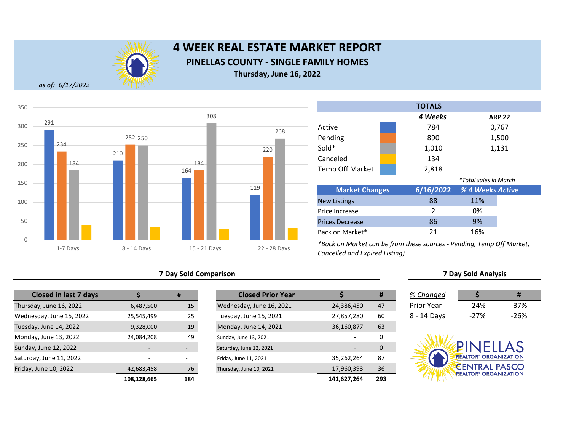

# **4 WEEK REAL ESTATE MARKET REPORT PINELLAS COUNTY - SINGLE FAMILY HOMES Thursday, June 16, 2022**

*as of: 6/17/2022*



#### **7 Day Sold Comparison**

| <b>Closed in last 7 days</b> |             | #   |
|------------------------------|-------------|-----|
| Thursday, June 16, 2022      | 6,487,500   | 15  |
| Wednesday, June 15, 2022     | 25,545,499  | 25  |
| Tuesday, June 14, 2022       | 9,328,000   | 19  |
| Monday, June 13, 2022        | 24,084,208  | 49  |
| Sunday, June 12, 2022        |             |     |
| Saturday, June 11, 2022      |             |     |
| Friday, June 10, 2022        | 42,683,458  | 76  |
|                              | 108.128.665 | 184 |

|             | #   | <b>Closed Prior Year</b> |             | #   | % Changed         |                                         | #      |
|-------------|-----|--------------------------|-------------|-----|-------------------|-----------------------------------------|--------|
| 6,487,500   | 15  | Wednesday, June 16, 2021 | 24,386,450  | 47  | <b>Prior Year</b> | $-24%$                                  | $-37%$ |
| 25,545,499  | 25  | Tuesday, June 15, 2021   | 27,857,280  | 60  | 8 - 14 Days       | $-27%$                                  | $-26%$ |
| 9,328,000   | 19  | Monday, June 14, 2021    | 36,160,877  | 63  |                   |                                         |        |
| 24,084,208  | 49  | Sunday, June 13, 2021    |             | 0   |                   |                                         |        |
|             |     | Saturday, June 12, 2021  |             | 0   |                   | PINFILAS                                |        |
|             |     | Friday, June 11, 2021    | 35,262,264  | 87  |                   | <b>REALTOR® ORGANIZATION</b>            |        |
| 42,683,458  | 76  | Thursday, June 10, 2021  | 17,960,393  | 36  |                   | <b>CENTRAL PASCO</b>                    |        |
| 108,128,665 | 184 |                          | 141,627,264 | 293 |                   | <b>REALTOR<sup>®</sup> ORGANIZATION</b> |        |

|                        |  | <b>TOTALS</b> |                       |               |  |
|------------------------|--|---------------|-----------------------|---------------|--|
|                        |  | 4 Weeks       |                       | <b>ARP 22</b> |  |
| Active                 |  | 784           |                       | 0,767         |  |
| Pending                |  | 890           |                       | 1,500         |  |
| Sold*                  |  | 1,010         |                       | 1,131         |  |
| Canceled               |  | 134           |                       |               |  |
| <b>Temp Off Market</b> |  | 2,818         |                       |               |  |
|                        |  |               | *Total sales in March |               |  |
| <b>Market Changes</b>  |  | 6/16/2022     | % 4 Weeks Active      |               |  |
| <b>New Listings</b>    |  | 88            | 11%                   |               |  |
| Price Increase         |  | 2             | 0%                    |               |  |
| <b>Prices Decrease</b> |  | 86            | 9%                    |               |  |
| Back on Market*        |  | 21            | 16%                   |               |  |

*\*Back on Market can be from these sources - Pending, Temp Off Market, Cancelled and Expired Listing)*

| % Changed   |      | #    |
|-------------|------|------|
| Prior Year  | -24% | -37% |
| 8 - 14 Days | -27% | -26% |

**7 Day Sold Analysis**

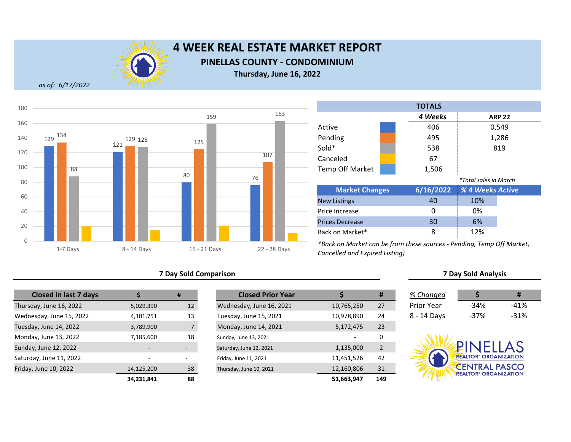

# **4 WEEK REAL ESTATE MARKET REPORT PINELLAS COUNTY - CONDOMINIUM**

**Thursday, June 16, 2022**

*as of: 6/17/2022*



#### **7 Day Sold Comparison 7 Day Sold Analysis**

| <b>Closed in last 7 days</b> |                          | #                        | <b>Closed Prior Year</b> |            |
|------------------------------|--------------------------|--------------------------|--------------------------|------------|
| Thursday, June 16, 2022      | 5,029,390                | 12 <sup>2</sup>          | Wednesday, June 16, 2021 | 10,765,250 |
| Wednesday, June 15, 2022     | 4,101,751                | 13                       | Tuesday, June 15, 2021   | 10,978,890 |
| Tuesday, June 14, 2022       | 3,789,900                | $\overline{7}$           | Monday, June 14, 2021    | 5,172,475  |
| Monday, June 13, 2022        | 7,185,600                | 18                       | Sunday, June 13, 2021    |            |
| Sunday, June 12, 2022        |                          |                          | Saturday, June 12, 2021  | 1,135,000  |
| Saturday, June 11, 2022      | $\overline{\phantom{a}}$ | $\overline{\phantom{0}}$ | Friday, June 11, 2021    | 11,451,526 |
| Friday, June 10, 2022        | 14,125,200               | 38                       | Thursday, June 10, 2021  | 12,160,806 |
|                              | 34,231,841               | 88                       |                          | 51,663,947 |

|            | #                        | <b>Closed Prior Year</b> |            | #              | % Changed   |                                         | #      |
|------------|--------------------------|--------------------------|------------|----------------|-------------|-----------------------------------------|--------|
| 5,029,390  | 12                       | Wednesday, June 16, 2021 | 10,765,250 | 27             | Prior Year  | $-34%$                                  | $-41%$ |
| 4,101,751  | 13                       | Tuesday, June 15, 2021   | 10,978,890 | 24             | 8 - 14 Days | $-37%$                                  | $-31%$ |
| 3,789,900  |                          | Monday, June 14, 2021    | 5,172,475  | 23             |             |                                         |        |
| 7,185,600  | 18                       | Sunday, June 13, 2021    |            | 0              |             |                                         |        |
|            |                          | Saturday, June 12, 2021  | 1,135,000  | $\overline{2}$ |             | <b>ANELLAS</b>                          |        |
|            | $\overline{\phantom{0}}$ | Friday, June 11, 2021    | 11,451,526 | 42             |             | <b>REALTOR® ORGANIZATION</b>            |        |
| 14,125,200 | 38                       | Thursday, June 10, 2021  | 12,160,806 | 31             |             | <b>CENTRAL PASCO</b>                    |        |
| 34,231,841 | 88                       |                          | 51,663,947 | 149            |             | <b>REALTOR<sup>®</sup> ORGANIZATION</b> |        |

| <b>TOTALS</b>          |  |           |                              |               |  |  |  |
|------------------------|--|-----------|------------------------------|---------------|--|--|--|
|                        |  | 4 Weeks   |                              | <b>ARP 22</b> |  |  |  |
| Active                 |  | 406       |                              | 0,549         |  |  |  |
| Pending                |  | 495       |                              | 1,286         |  |  |  |
| Sold*                  |  | 538       |                              | 819           |  |  |  |
| Canceled               |  | 67        |                              |               |  |  |  |
| <b>Temp Off Market</b> |  | 1,506     |                              |               |  |  |  |
|                        |  |           | <i>*Total sales in March</i> |               |  |  |  |
| <b>Market Changes</b>  |  | 6/16/2022 | % 4 Weeks Active             |               |  |  |  |
| <b>New Listings</b>    |  | 40        | 10%                          |               |  |  |  |
|                        |  |           |                              |               |  |  |  |

0 i 0% 30 6% 8 12% Price Increase Prices Decrease Back on Market\*

| % Changed   |        | Ħ      |  |
|-------------|--------|--------|--|
| Prior Year  | $-34%$ | $-41%$ |  |
| 8 - 14 Days | -37%   | $-31%$ |  |

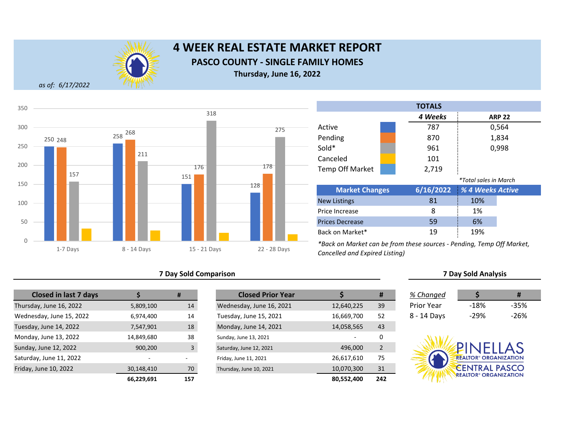

# **4 WEEK REAL ESTATE MARKET REPORT PASCO COUNTY - SINGLE FAMILY HOMES Thursday, June 16, 2022**

*as of: 6/17/2022*



### **7 Day Sold Comparison 7 Day Sold Analysis**

| <b>Closed in last 7 days</b> |            | #              | <b>Closed Prior Year</b> |            |
|------------------------------|------------|----------------|--------------------------|------------|
| Thursday, June 16, 2022      | 5,809,100  | 14             | Wednesday, June 16, 2021 | 12,640,225 |
| Wednesday, June 15, 2022     | 6,974,400  | 14             | Tuesday, June 15, 2021   | 16,669,700 |
| Tuesday, June 14, 2022       | 7,547,901  | 18             | Monday, June 14, 2021    | 14,058,565 |
| Monday, June 13, 2022        | 14,849,680 | 38             | Sunday, June 13, 2021    |            |
| Sunday, June 12, 2022        | 900,200    | $\overline{3}$ | Saturday, June 12, 2021  | 496,000    |
| Saturday, June 11, 2022      |            |                | Friday, June 11, 2021    | 26,617,610 |
| Friday, June 10, 2022        | 30,148,410 | 70             | Thursday, June 10, 2021  | 10,070,300 |
|                              | 66.229.691 | 157            |                          | 80.552.400 |

|            | #   | <b>Closed Prior Year</b> |            | #              | % Changed         |                                         | #      |
|------------|-----|--------------------------|------------|----------------|-------------------|-----------------------------------------|--------|
| 5,809,100  | 14  | Wednesday, June 16, 2021 | 12,640,225 | 39             | <b>Prior Year</b> | $-18%$                                  | $-35%$ |
| 6,974,400  | 14  | Tuesday, June 15, 2021   | 16,669,700 | 52             | 8 - 14 Days       | $-29%$                                  | $-26%$ |
| 7,547,901  | 18  | Monday, June 14, 2021    | 14,058,565 | 43             |                   |                                         |        |
| 14,849,680 | 38  | Sunday, June 13, 2021    |            | 0              |                   |                                         |        |
| 900,200    | 3   | Saturday, June 12, 2021  | 496,000    | $\overline{2}$ |                   | PINELLAS                                |        |
|            |     | Friday, June 11, 2021    | 26,617,610 | 75             |                   | <b>REALTOR® ORGANIZATION</b>            |        |
| 30,148,410 | 70  | Thursday, June 10, 2021  | 10,070,300 | 31             |                   | <b>CENTRAL PASCO</b>                    |        |
| 66,229,691 | 157 |                          | 80,552,400 | 242            |                   | <b>REALTOR<sup>®</sup> ORGANIZATION</b> |        |

| <b>TOTALS</b>          |         |           |                       |       |  |  |
|------------------------|---------|-----------|-----------------------|-------|--|--|
|                        | 4 Weeks |           | <b>ARP 22</b>         |       |  |  |
| Active                 |         | 787       |                       | 0,564 |  |  |
| Pending                |         | 870       |                       | 1,834 |  |  |
| Sold*                  |         | 961       |                       | 0,998 |  |  |
| Canceled               |         | 101       |                       |       |  |  |
| <b>Temp Off Market</b> |         | 2,719     |                       |       |  |  |
|                        |         |           | *Total sales in March |       |  |  |
| <b>Market Changes</b>  |         | 6/16/2022 | % 4 Weeks Active      |       |  |  |
| <b>New Listings</b>    |         | 81        | 10%                   |       |  |  |
| Price Increase         |         | 8         | 1%                    |       |  |  |
| <b>Prices Decrease</b> |         | 59        | 6%                    |       |  |  |
| Back on Market*        |         | 19        | 19%                   |       |  |  |

| % Changed   |      | #    |  |
|-------------|------|------|--|
| Prior Year  | -18% | -35% |  |
| 8 - 14 Days | -29% | -26% |  |

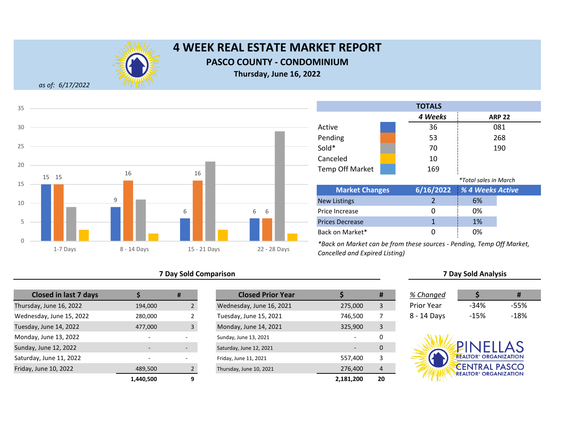

# **4 WEEK REAL ESTATE MARKET REPORT**

**PASCO COUNTY - CONDOMINIUM**

**Thursday, June 16, 2022**

*as of: 6/17/2022*



#### **7 Day Sold Comparison 7 Day Sold Analysis**

| <b>Closed in last 7 days</b> |                          | #              | <b>Closed Prior Year</b> |           |
|------------------------------|--------------------------|----------------|--------------------------|-----------|
| Thursday, June 16, 2022      | 194,000                  |                | Wednesday, June 16, 2021 | 275,000   |
| Wednesday, June 15, 2022     | 280,000                  |                | Tuesday, June 15, 2021   | 746,500   |
| Tuesday, June 14, 2022       | 477,000                  | $\overline{3}$ | Monday, June 14, 2021    | 325,900   |
| Monday, June 13, 2022        | $\overline{\phantom{0}}$ |                | Sunday, June 13, 2021    |           |
| Sunday, June 12, 2022        |                          |                | Saturday, June 12, 2021  |           |
| Saturday, June 11, 2022      |                          |                | Friday, June 11, 2021    | 557,400   |
| Friday, June 10, 2022        | 489,500                  |                | Thursday, June 10, 2021  | 276,400   |
|                              | 1.440.500                |                |                          | 2.181.200 |

|           | #                        | <b>Closed Prior Year</b> |                          | Ħ  | % Changed         |                                                                 |        |
|-----------|--------------------------|--------------------------|--------------------------|----|-------------------|-----------------------------------------------------------------|--------|
| 194,000   |                          | Wednesday, June 16, 2021 | 275,000                  | 3  | <b>Prior Year</b> | $-34%$                                                          | $-55%$ |
| 280,000   |                          | Tuesday, June 15, 2021   | 746,500                  |    | 8 - 14 Days       | $-15%$                                                          | $-18%$ |
| 477,000   | $\overline{3}$           | Monday, June 14, 2021    | 325,900                  | 3  |                   |                                                                 |        |
| $\sim$    |                          | Sunday, June 13, 2021    |                          | 0  |                   |                                                                 |        |
|           | $\overline{\phantom{a}}$ | Saturday, June 12, 2021  | $\overline{\phantom{0}}$ | 0  |                   | NFILAS                                                          |        |
|           |                          | Friday, June 11, 2021    | 557,400                  | 3  |                   | <b>REALTOR® ORGANIZATION</b>                                    |        |
| 489.500   |                          | Thursday, June 10, 2021  | 276,400                  | 4  |                   | <b>CENTRAL PASCO</b><br><b>REALTOR<sup>®</sup> ORGANIZATION</b> |        |
| 1,440,500 |                          |                          | 2,181,200                | 20 |                   |                                                                 |        |

| <b>TOTALS</b>         |  |         |                              |  |  |
|-----------------------|--|---------|------------------------------|--|--|
|                       |  | 4 Weeks | <b>ARP 22</b>                |  |  |
| Active                |  | 36      | 081                          |  |  |
| Pending               |  | 53      | 268                          |  |  |
| Sold*                 |  | 70      | 190                          |  |  |
| Canceled              |  | 10      |                              |  |  |
| Temp Off Market       |  | 169     |                              |  |  |
|                       |  |         | <i>*Total sales in March</i> |  |  |
| <b>Market Changes</b> |  |         | 6/16/2022 % 4 Weeks Active   |  |  |

| <b>Market Changes</b>  | 6/16/2022 % 4 Weeks Active |    |  |
|------------------------|----------------------------|----|--|
| <b>New Listings</b>    |                            | 6% |  |
| Price Increase         |                            | 0% |  |
| <b>Prices Decrease</b> |                            | 1% |  |
| Back on Market*        |                            | በ% |  |

| % Changed   |        | #      |  |
|-------------|--------|--------|--|
| Prior Year  | $-34%$ | -55%   |  |
| 8 - 14 Days | -15%   | $-18%$ |  |

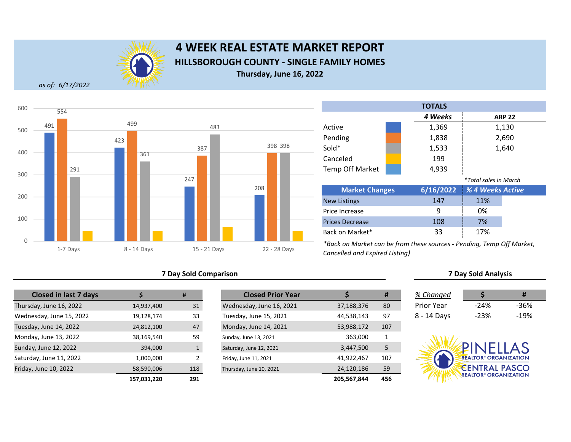

# **4 WEEK REAL ESTATE MARKET REPORT HILLSBOROUGH COUNTY - SINGLE FAMILY HOMES Thursday, June 16, 2022**

*as of: 6/17/2022*



#### **7 Day Sold Comparison 7 Day Sold Analysis**

| <b>Closed in last 7 days</b> |             | #              | <b>Closed Prior Year</b> |  |
|------------------------------|-------------|----------------|--------------------------|--|
| Thursday, June 16, 2022      | 14,937,400  | 31             | Wednesday, June 16, 2021 |  |
| Wednesday, June 15, 2022     | 19,128,174  | 33             | Tuesday, June 15, 2021   |  |
| Tuesday, June 14, 2022       | 24,812,100  | 47             | Monday, June 14, 2021    |  |
| Monday, June 13, 2022        | 38,169,540  | 59             | Sunday, June 13, 2021    |  |
| Sunday, June 12, 2022        | 394,000     |                | Saturday, June 12, 2021  |  |
| Saturday, June 11, 2022      | 1,000,000   | $\overline{2}$ | Friday, June 11, 2021    |  |
| Friday, June 10, 2022        | 58,590,006  | 118            | Thursday, June 10, 2021  |  |
|                              | 157 031 220 | 291            |                          |  |

|             | #            | <b>Closed Prior Year</b> |             | #   | % Changed   |                                         | #      |
|-------------|--------------|--------------------------|-------------|-----|-------------|-----------------------------------------|--------|
| 14,937,400  | 31           | Wednesday, June 16, 2021 | 37,188,376  | 80  | Prior Year  | $-24%$                                  | -36%   |
| 19,128,174  | 33           | Tuesday, June 15, 2021   | 44,538,143  | 97  | 8 - 14 Days | $-23%$                                  | $-19%$ |
| 24,812,100  | 47           | Monday, June 14, 2021    | 53,988,172  | 107 |             |                                         |        |
| 38,169,540  | 59           | Sunday, June 13, 2021    | 363,000     |     |             |                                         |        |
| 394,000     | $\mathbf{1}$ | Saturday, June 12, 2021  | 3,447,500   | 5   |             | PINELLAS                                |        |
| 1,000,000   | C.           | Friday, June 11, 2021    | 41,922,467  | 107 |             | <b>REALTOR® ORGANIZATION</b>            |        |
| 58,590,006  | 118          | Thursday, June 10, 2021  | 24,120,186  | 59  |             | <b>CENTRAL PASCO</b>                    |        |
| 157,031,220 | 291          |                          | 205,567,844 | 456 |             | <b>REALTOR<sup>®</sup> ORGANIZATION</b> |        |

|                        |                       | <b>TOTALS</b> |                              |               |
|------------------------|-----------------------|---------------|------------------------------|---------------|
|                        |                       | 4 Weeks       |                              | <b>ARP 22</b> |
| Active                 |                       | 1,369         |                              | 1,130         |
| Pending                |                       | 1,838         |                              | 2,690         |
| Sold*                  |                       | 1,533         |                              | 1,640         |
| Canceled               |                       | 199           |                              |               |
| <b>Temp Off Market</b> |                       | 4,939         |                              |               |
|                        |                       |               | <i>*Total sales in March</i> |               |
|                        | <b>Market Changes</b> |               | % 4 Weeks Active             |               |
|                        |                       | $\sim$ $\sim$ | $\sim$ $\sim$ $\sim$         |               |

| 147 | 11% |                            |
|-----|-----|----------------------------|
|     | 0%  |                            |
| 108 | 7%  |                            |
| 33  | 17% |                            |
|     |     | 6/16/2022 % 4 Weeks Active |

| % Changed         | S      | Ħ      |
|-------------------|--------|--------|
| <b>Prior Year</b> | $-24%$ | -36%   |
| 8 - 14 Days       | $-23%$ | $-19%$ |

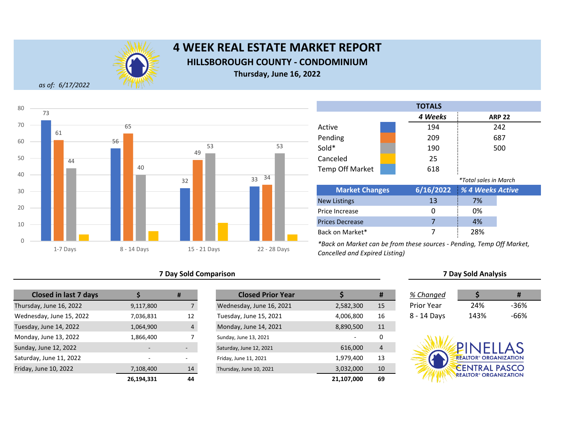

# **4 WEEK REAL ESTATE MARKET REPORT HILLSBOROUGH COUNTY - CONDOMINIUM**

**Thursday, June 16, 2022**

*as of: 6/17/2022*



#### **7 Day Sold Comparison 7 Day Sold Analysis**

| <b>Closed in last 7 days</b> |            | #              | <b>Closed Prior Year</b> |  |
|------------------------------|------------|----------------|--------------------------|--|
| Thursday, June 16, 2022      | 9,117,800  | 7              | Wednesday, June 16, 2021 |  |
| Wednesday, June 15, 2022     | 7,036,831  | 12             | Tuesday, June 15, 2021   |  |
| Tuesday, June 14, 2022       | 1,064,900  | $\overline{4}$ | Monday, June 14, 2021    |  |
| Monday, June 13, 2022        | 1,866,400  |                | Sunday, June 13, 2021    |  |
| Sunday, June 12, 2022        |            |                | Saturday, June 12, 2021  |  |
| Saturday, June 11, 2022      | ٠          |                | Friday, June 11, 2021    |  |
| Friday, June 10, 2022        | 7,108,400  | 14             | Thursday, June 10, 2021  |  |
|                              | 26,194,331 | 44             |                          |  |

|            | #  | <b>Closed Prior Year</b> |            | #  | % Changed         |                                         | #      |
|------------|----|--------------------------|------------|----|-------------------|-----------------------------------------|--------|
| 9,117,800  |    | Wednesday, June 16, 2021 | 2,582,300  | 15 | <b>Prior Year</b> | 24%                                     | $-36%$ |
| 7,036,831  | 12 | Tuesday, June 15, 2021   | 4,006,800  | 16 | 8 - 14 Days       | 143%                                    | $-66%$ |
| 1,064,900  | 4  | Monday, June 14, 2021    | 8,890,500  | 11 |                   |                                         |        |
| 1,866,400  |    | Sunday, June 13, 2021    |            | 0  |                   |                                         |        |
|            |    | Saturday, June 12, 2021  | 616,000    | 4  |                   | <b>PINELLAS</b>                         |        |
|            | ۰  | Friday, June 11, 2021    | 1,979,400  | 13 |                   | <b>REALTOR<sup>®</sup> ORGANIZATION</b> |        |
| 7,108,400  | 14 | Thursday, June 10, 2021  | 3,032,000  | 10 |                   | <b>CENTRAL PASCO</b>                    |        |
| 26,194,331 | 44 |                          | 21,107,000 | 69 |                   | <b>REALTOR<sup>®</sup> ORGANIZATION</b> |        |

|                        | <b>TOTALS</b> |         |                              |  |  |  |
|------------------------|---------------|---------|------------------------------|--|--|--|
|                        |               | 4 Weeks | <b>ARP 22</b>                |  |  |  |
| Active                 |               | 194     | 242                          |  |  |  |
| Pending                |               | 209     | 687                          |  |  |  |
| Sold*                  |               | 190     | 500                          |  |  |  |
| Canceled               |               | 25      |                              |  |  |  |
| <b>Temp Off Market</b> |               | 618     |                              |  |  |  |
|                        |               |         | <i>*Total sales in March</i> |  |  |  |

| <b>Market Changes</b>  | 6/16/2022 | <b>1 % 4 Weeks Active</b> |  |
|------------------------|-----------|---------------------------|--|
| <b>New Listings</b>    | 13        | 7%                        |  |
| Price Increase         |           | 0%                        |  |
| <b>Prices Decrease</b> |           | 4%                        |  |
| Back on Market*        |           | 28%                       |  |

| % Changed   |      | #    |
|-------------|------|------|
|             |      |      |
| Prior Year  | 24%  | -36% |
| 8 - 14 Days | 143% | -66% |

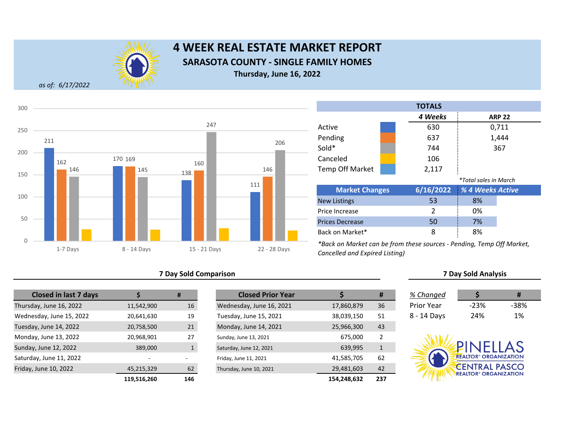

# **4 WEEK REAL ESTATE MARKET REPORT SARASOTA COUNTY - SINGLE FAMILY HOMES Thursday, June 16, 2022**

*as of: 6/17/2022*



#### **7 Day Sold Comparison 7 Day Sold Analysis**

| <b>Closed in last 7 days</b> |             | #            | <b>Closed Prior Year</b> |             |
|------------------------------|-------------|--------------|--------------------------|-------------|
| Thursday, June 16, 2022      | 11,542,900  | 16           | Wednesday, June 16, 2021 | 17,860,879  |
| Wednesday, June 15, 2022     | 20,641,630  | 19           | Tuesday, June 15, 2021   | 38,039,150  |
| Tuesday, June 14, 2022       | 20,758,500  | 21           | Monday, June 14, 2021    | 25,966,300  |
| Monday, June 13, 2022        | 20,968,901  | 27           | Sunday, June 13, 2021    | 675,000     |
| Sunday, June 12, 2022        | 389,000     | $\mathbf{1}$ | Saturday, June 12, 2021  | 639,995     |
| Saturday, June 11, 2022      | ٠           |              | Friday, June 11, 2021    | 41,585,705  |
| Friday, June 10, 2022        | 45,215,329  | 62           | Thursday, June 10, 2021  | 29,481,603  |
|                              | 119,516,260 | 146          |                          | 154,248,632 |

|             | #   | <b>Closed Prior Year</b> |             | #            | % Changed   |                                         | #    |
|-------------|-----|--------------------------|-------------|--------------|-------------|-----------------------------------------|------|
| 11,542,900  | 16  | Wednesday, June 16, 2021 | 17,860,879  | 36           | Prior Year  | $-23%$                                  | -38% |
| 20,641,630  | 19  | Tuesday, June 15, 2021   | 38,039,150  | 51           | 8 - 14 Days | 24%                                     | 1%   |
| 20,758,500  | 21  | Monday, June 14, 2021    | 25,966,300  | 43           |             |                                         |      |
| 20,968,901  | 27  | Sunday, June 13, 2021    | 675,000     | 2            |             |                                         |      |
| 389,000     |     | Saturday, June 12, 2021  | 639,995     | $\mathbf{1}$ |             | <b>!INELLAS</b>                         |      |
| $\sim$      | ۰   | Friday, June 11, 2021    | 41,585,705  | 62           |             | <b>REALTOR® ORGANIZATION</b>            |      |
| 45,215,329  | 62  | Thursday, June 10, 2021  | 29,481,603  | 42           |             | <b>CENTRAL PASCO</b>                    |      |
| 119,516,260 | 146 |                          | 154,248,632 | 237          |             | <b>REALTOR<sup>®</sup> ORGANIZATION</b> |      |

|                        | <b>TOTALS</b> |                              |               |
|------------------------|---------------|------------------------------|---------------|
|                        | 4 Weeks       |                              | <b>ARP 22</b> |
| Active                 | 630           |                              | 0,711         |
| Pending                | 637           |                              | 1,444         |
| Sold*                  | 744           |                              | 367           |
| Canceled               | 106           |                              |               |
| <b>Temp Off Market</b> | 2,117         |                              |               |
|                        |               | <i>*Total sales in March</i> |               |
| <b>Market Changes</b>  | 6/16/2022     | % 4 Weeks Active             |               |
| <b>New Listings</b>    | 53            | 8%                           |               |
| Price Increase         | 2             | 0%                           |               |

50 7% 8 8% Prices Decrease Back on Market\* *\*Back on Market can be from these sources - Pending, Temp Off Market, Cancelled and Expired Listing)*

| % Changed   |        | Ħ    |
|-------------|--------|------|
| Prior Year  | $-23%$ | -38% |
| 8 - 14 Days | 24%    | 1%   |

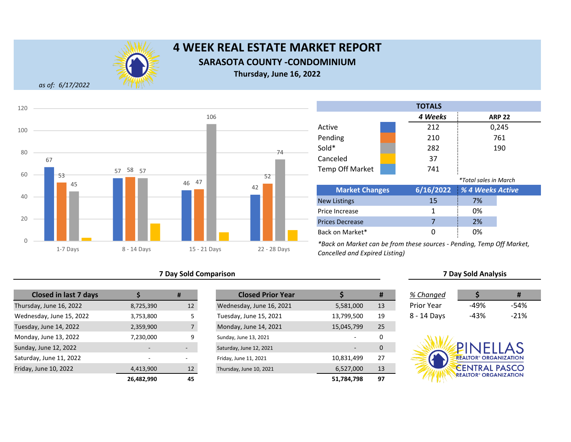

# **4 WEEK REAL ESTATE MARKET REPORT SARASOTA COUNTY -CONDOMINIUM Thursday, June 16, 2022**

*as of: 6/17/2022*



#### **7 Day Sold Comparison 7 Day Sold Analysis**

| <b>Closed in last 7 days</b> |                          | #               | <b>Closed Prior Year</b> |            |
|------------------------------|--------------------------|-----------------|--------------------------|------------|
| Thursday, June 16, 2022      | 8,725,390                | 12 <sup>2</sup> | Wednesday, June 16, 2021 | 5,581,000  |
| Wednesday, June 15, 2022     | 3,753,800                | 5               | Tuesday, June 15, 2021   | 13,799,500 |
| Tuesday, June 14, 2022       | 2,359,900                | $\overline{7}$  | Monday, June 14, 2021    | 15,045,799 |
| Monday, June 13, 2022        | 7,230,000                | 9               | Sunday, June 13, 2021    |            |
| Sunday, June 12, 2022        |                          |                 | Saturday, June 12, 2021  |            |
| Saturday, June 11, 2022      | $\overline{\phantom{a}}$ |                 | Friday, June 11, 2021    | 10,831,499 |
| Friday, June 10, 2022        | 4,413,900                | 12              | Thursday, June 10, 2021  | 6,527,000  |
|                              | 26,482,990               | 45              |                          | 51,784,798 |

|            | #                        | <b>Closed Prior Year</b> |            | #  | % Changed         |                                         | #      |
|------------|--------------------------|--------------------------|------------|----|-------------------|-----------------------------------------|--------|
| 8,725,390  | 12                       | Wednesday, June 16, 2021 | 5,581,000  | 13 | <b>Prior Year</b> | -49%                                    | $-54%$ |
| 3,753,800  |                          | Tuesday, June 15, 2021   | 13,799,500 | 19 | 8 - 14 Days       | $-43%$                                  | $-21%$ |
| 2,359,900  |                          | Monday, June 14, 2021    | 15,045,799 | 25 |                   |                                         |        |
| 7,230,000  | 9                        | Sunday, June 13, 2021    |            | 0  |                   |                                         |        |
|            | ٠                        | Saturday, June 12, 2021  |            | 0  |                   | PINELLAS                                |        |
|            | $\overline{\phantom{0}}$ | Friday, June 11, 2021    | 10,831,499 | 27 |                   | <b>REALTOR® ORGANIZATION</b>            |        |
| 4,413,900  | 12                       | Thursday, June 10, 2021  | 6,527,000  | 13 |                   | <b>CENTRAL PASCO</b>                    |        |
| 26,482,990 | 45                       |                          | 51,784,798 | 97 |                   | <b>REALTOR<sup>®</sup> ORGANIZATION</b> |        |

| <b>TOTALS</b>          |                              |           |                  |  |  |  |
|------------------------|------------------------------|-----------|------------------|--|--|--|
|                        |                              | 4 Weeks   | <b>ARP 22</b>    |  |  |  |
| Active                 |                              | 212       | 0,245            |  |  |  |
| Pending                |                              | 210       | 761              |  |  |  |
| Sold*                  |                              | 282       | 190              |  |  |  |
| Canceled               |                              | 37        |                  |  |  |  |
| <b>Temp Off Market</b> |                              | 741       |                  |  |  |  |
|                        | <i>*Total sales in March</i> |           |                  |  |  |  |
| Market Changes         |                              | 6/16/2022 | % A Weeks Active |  |  |  |

| <b>Market Changes</b>  |    | 6/16/2022 % 4 Weeks Active |
|------------------------|----|----------------------------|
| <b>New Listings</b>    | 15 | 7%                         |
| Price Increase         |    | 0%                         |
| <b>Prices Decrease</b> |    | 2%                         |
| Back on Market*        |    | 0%                         |

| % Changed   | S    | #      |
|-------------|------|--------|
| Prior Year  | -49% | -54%   |
| 3 - 14 Days | -43% | $-21%$ |

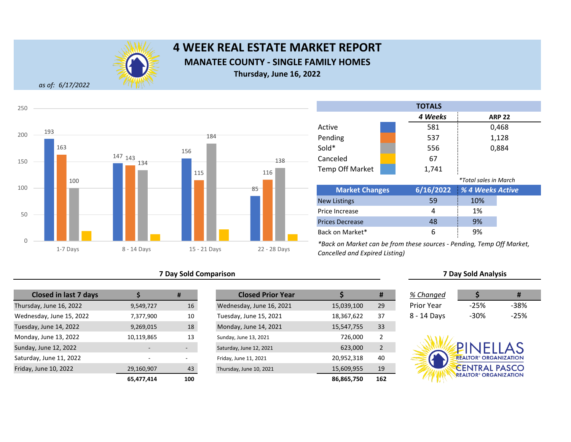

# **4 WEEK REAL ESTATE MARKET REPORT MANATEE COUNTY - SINGLE FAMILY HOMES Thursday, June 16, 2022**

*as of: 6/17/2022*



### **7 Day Sold Comparison 7 Day Sold Analysis**

| <b>Closed in last 7 days</b> |                          | #   | <b>Closed Prior Year</b> |  |
|------------------------------|--------------------------|-----|--------------------------|--|
| Thursday, June 16, 2022      | 9,549,727                | 16  | Wednesday, June 16, 2021 |  |
| Wednesday, June 15, 2022     | 7,377,900                | 10  | Tuesday, June 15, 2021   |  |
| Tuesday, June 14, 2022       | 9,269,015                | 18  | Monday, June 14, 2021    |  |
| Monday, June 13, 2022        | 10,119,865               | 13  | Sunday, June 13, 2021    |  |
| Sunday, June 12, 2022        | $\overline{\phantom{0}}$ |     | Saturday, June 12, 2021  |  |
| Saturday, June 11, 2022      | $\overline{\phantom{0}}$ |     | Friday, June 11, 2021    |  |
| Friday, June 10, 2022        | 29,160,907               | 43  | Thursday, June 10, 2021  |  |
|                              | 65.477.414               | 100 |                          |  |

|            | #                        | <b>Closed Prior Year</b> |            | #              | % Changed         |                                         | #      |
|------------|--------------------------|--------------------------|------------|----------------|-------------------|-----------------------------------------|--------|
| 9,549,727  | 16                       | Wednesday, June 16, 2021 | 15,039,100 | 29             | <b>Prior Year</b> | $-25%$                                  | $-38%$ |
| 7,377,900  | 10                       | Tuesday, June 15, 2021   | 18,367,622 | 37             | 8 - 14 Days       | $-30%$                                  | $-25%$ |
| 9,269,015  | 18                       | Monday, June 14, 2021    | 15,547,755 | 33             |                   |                                         |        |
| 10,119,865 | 13                       | Sunday, June 13, 2021    | 726,000    | 2              |                   |                                         |        |
|            | ٠                        | Saturday, June 12, 2021  | 623,000    | $\overline{2}$ |                   | PINELLAS                                |        |
|            | $\overline{\phantom{0}}$ | Friday, June 11, 2021    | 20,952,318 | 40             |                   | <b>REALTOR® ORGANIZATION</b>            |        |
| 29,160,907 | 43                       | Thursday, June 10, 2021  | 15,609,955 | 19             |                   | <b>CENTRAL PASCO</b>                    |        |
| 65,477,414 | 100                      |                          | 86,865,750 | 162            |                   | <b>REALTOR<sup>®</sup> ORGANIZATION</b> |        |

|                        |  | <b>TOTALS</b> |                       |               |
|------------------------|--|---------------|-----------------------|---------------|
|                        |  | 4 Weeks       |                       | <b>ARP 22</b> |
| Active                 |  | 581           |                       | 0,468         |
| Pending                |  | 537           |                       | 1,128         |
| Sold*                  |  | 556           |                       | 0,884         |
| Canceled               |  | 67            |                       |               |
| <b>Temp Off Market</b> |  | 1,741         |                       |               |
|                        |  |               | *Total sales in March |               |
| <b>Market Changes</b>  |  | 6/16/2022     | % 4 Weeks Active      |               |
| <b>New Listings</b>    |  | 59            | 10%                   |               |
| Price Increase         |  | 4             | 1%                    |               |
| <b>Prices Decrease</b> |  | 48            | 9%                    |               |
| Back on Market*        |  | 6             | 9%                    |               |

| % Changed   |        | #      |
|-------------|--------|--------|
| Prior Year  | $-25%$ | -38%   |
| 8 - 14 Days | -30%   | $-25%$ |